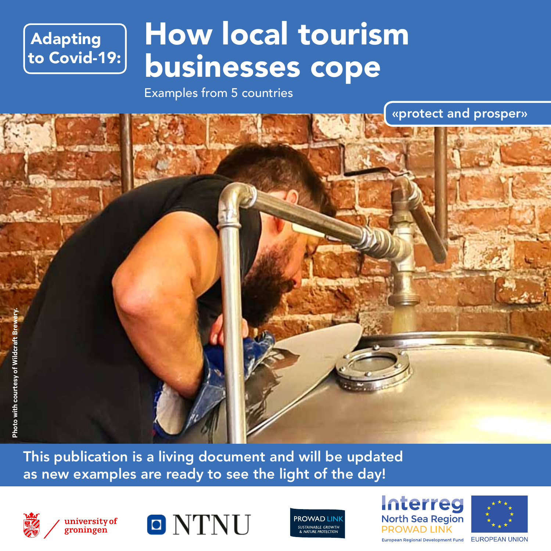## Adapting to Covid-19:

# How local tourism businesses cope

Examples from 5 countries

«protect and prosper» **Photo with courtesy of Wildcraft Brewery.**Photo with courtesy of Wildcraft B

This publication is a living document and will be updated as new examples are ready to see the light of the day!



groningen





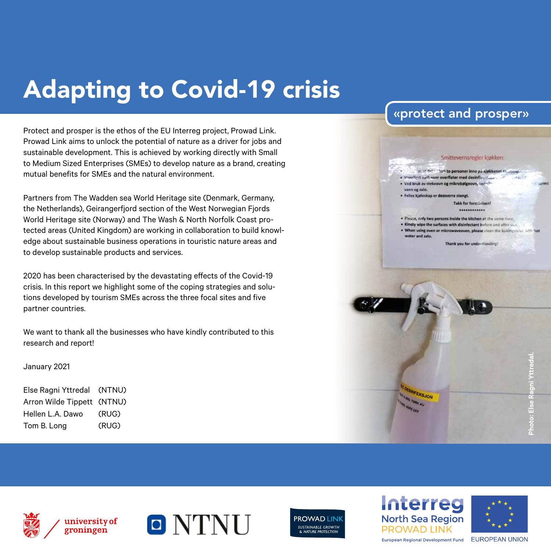# Adapting to Covid-19 crisis

Protect and prosper is the ethos of the EU Interreg project, Prowad Link. Prowad Link aims to unlock the potential of nature as a driver for jobs and sustainable development. This is achieved by working directly with Small to Medium Sized Enterprises (SMEs) to develop nature as a brand, creating mutual benefits for SMEs and the natural environment.

Partners from The Wadden sea World Heritage site (Denmark, Germany, the Netherlands), Geirangerfjord section of the West Norwegian Fjords World Heritage site (Norway) and The Wash & North Norfolk Coast protected areas (United Kingdom) are working in collaboration to build knowledge about sustainable business operations in touristic nature areas and to develop sustainable products and services.

2020 has been characterised by the devastating effects of the Covid-19 crisis. In this report we highlight some of the coping strategies and solutions developed by tourism SMEs across the three focal sites and five partner countries.

We want to thank all the businesses who have kindly contributed to this research and report!

#### January 2021

| Else Ragni Yttredal (NTNU) |       |
|----------------------------|-------|
| Arron Wilde Tippett (NTNU) |       |
| Hellen L.A. Dawo           | (RUG) |
| Tom B. Long                | (RUG) |

### «protect and prosper»

#### in at fet : "lain to personer inne på kjøkkenet er under." which vast over overflater med desinfixations.  $12.55$ · Ved bruk av stekeovn og mikrobølgeovn, ver

Smittevernsregler kjøkken:

- vann og zalo. · Felles kjøleskap er dessverre stengt
	- **Takk for forst Jelsen!**

#### ............

- . Please, only two persons inside the kitchen at the same time.
- . Kindly wipe the surfaces with disinfectant before and after us-
- . When using oven or microwaveoven, please clean the bakingshout with hot water and ralo.

Thank you for understanding!











**INFEKSJON**